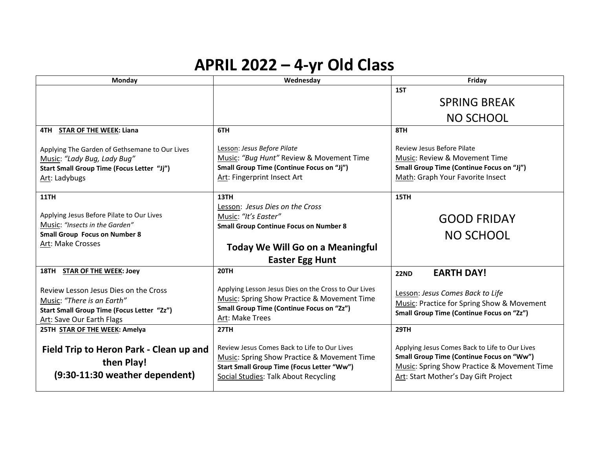# **APRIL 2022 – 4-yr Old Class**

| Monday                                                                                                                                                  | Wednesday                                                                                                                                                                                                  | Fridav                                                                                                                                                                             |
|---------------------------------------------------------------------------------------------------------------------------------------------------------|------------------------------------------------------------------------------------------------------------------------------------------------------------------------------------------------------------|------------------------------------------------------------------------------------------------------------------------------------------------------------------------------------|
|                                                                                                                                                         |                                                                                                                                                                                                            | 1ST                                                                                                                                                                                |
|                                                                                                                                                         |                                                                                                                                                                                                            | <b>SPRING BREAK</b>                                                                                                                                                                |
|                                                                                                                                                         |                                                                                                                                                                                                            | <b>NO SCHOOL</b>                                                                                                                                                                   |
| 4TH STAR OF THE WEEK: Liana                                                                                                                             | 6TH                                                                                                                                                                                                        | 8TH                                                                                                                                                                                |
| Applying The Garden of Gethsemane to Our Lives<br>Music: "Lady Bug, Lady Bug"<br>Start Small Group Time (Focus Letter "Jj")<br>Art: Ladybugs            | Lesson: Jesus Before Pilate<br>Music: "Bug Hunt" Review & Movement Time<br>Small Group Time (Continue Focus on "Jj")<br>Art: Fingerprint Insect Art                                                        | Review Jesus Before Pilate<br>Music: Review & Movement Time<br>Small Group Time (Continue Focus on "Jj")<br>Math: Graph Your Favorite Insect                                       |
| <b>11TH</b><br>Applying Jesus Before Pilate to Our Lives<br>Music: "Insects in the Garden"<br><b>Small Group Focus on Number 8</b><br>Art: Make Crosses | 13TH<br>Lesson: Jesus Dies on the Cross<br>Music: "It's Easter"<br><b>Small Group Continue Focus on Number 8</b><br><b>Today We Will Go on a Meaningful</b><br><b>Easter Egg Hunt</b>                      | 15TH<br><b>GOOD FRIDAY</b><br><b>NO SCHOOL</b>                                                                                                                                     |
| 18TH STAR OF THE WEEK: Joey                                                                                                                             | 20TH                                                                                                                                                                                                       | <b>EARTH DAY!</b><br><b>22ND</b>                                                                                                                                                   |
| Review Lesson Jesus Dies on the Cross<br>Music: "There is an Earth"<br>Start Small Group Time (Focus Letter "Zz")<br>Art: Save Our Earth Flags          | Applying Lesson Jesus Dies on the Cross to Our Lives<br>Music: Spring Show Practice & Movement Time<br><b>Small Group Time (Continue Focus on "Zz")</b><br>Art: Make Trees                                 | Lesson: Jesus Comes Back to Life<br>Music: Practice for Spring Show & Movement<br><b>Small Group Time (Continue Focus on "Zz")</b>                                                 |
| 25TH STAR OF THE WEEK: Amelya                                                                                                                           | <b>27TH</b>                                                                                                                                                                                                | <b>29TH</b>                                                                                                                                                                        |
| Field Trip to Heron Park - Clean up and<br>then Play!<br>(9:30-11:30 weather dependent)                                                                 | Review Jesus Comes Back to Life to Our Lives<br><b>Music: Spring Show Practice &amp; Movement Time</b><br><b>Start Small Group Time (Focus Letter "Ww")</b><br><b>Social Studies: Talk About Recycling</b> | Applying Jesus Comes Back to Life to Our Lives<br>Small Group Time (Continue Focus on "Ww")<br>Music: Spring Show Practice & Movement Time<br>Art: Start Mother's Day Gift Project |